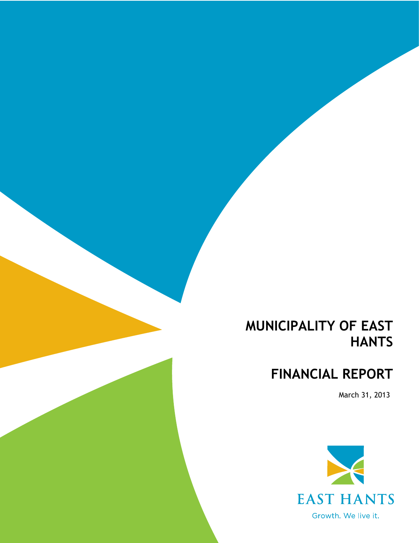# **MUNICIPALITY OF EAST HANTS**

# **FINANCIAL REPORT**

March 31, 2013

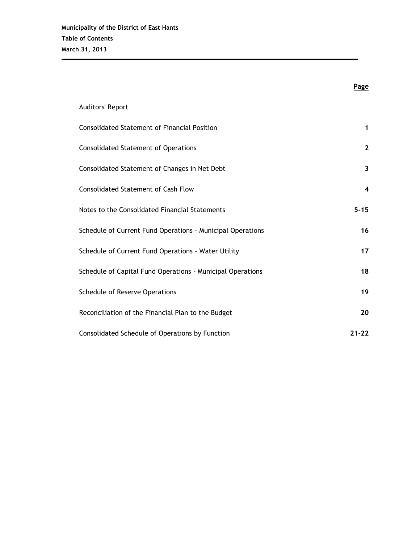| Auditors' Report                                           |                |
|------------------------------------------------------------|----------------|
| <b>Consolidated Statement of Financial Position</b>        | 1              |
| <b>Consolidated Statement of Operations</b>                | $\overline{2}$ |
| Consolidated Statement of Changes in Net Debt              | 3              |
| <b>Consolidated Statement of Cash Flow</b>                 | 4              |
| Notes to the Consolidated Financial Statements             | $5 - 15$       |
| Schedule of Current Fund Operations - Municipal Operations | 16             |
| Schedule of Current Fund Operations - Water Utility        | 17             |
| Schedule of Capital Fund Operations - Municipal Operations | 18             |
| Schedule of Reserve Operations                             | 19             |
| Reconciliation of the Financial Plan to the Budget         | 20             |
| Consolidated Schedule of Operations by Function            | $21 - 22$      |

**Page**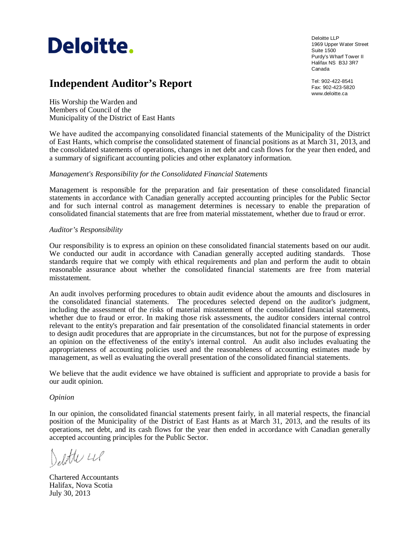

# **Independent Auditor's Report**

His Worship the Warden and Members of Council of the Municipality of the District of East Hants Deloitte LLP 1969 Upper Water Street Suite 1500 Purdy's Wharf Tower II Halifax NS B3J 3R7 Canada

Tel: 902-422-8541 Fax: 902-423-5820 www.deloitte.ca

We have audited the accompanying consolidated financial statements of the Municipality of the District of East Hants, which comprise the consolidated statement of financial positions as at March 31, 2013, and the consolidated statements of operations, changes in net debt and cash flows for the year then ended, and a summary of significant accounting policies and other explanatory information.

### *Management's Responsibility for the Consolidated Financial Statements*

Management is responsible for the preparation and fair presentation of these consolidated financial statements in accordance with Canadian generally accepted accounting principles for the Public Sector and for such internal control as management determines is necessary to enable the preparation of consolidated financial statements that are free from material misstatement, whether due to fraud or error.

#### *Auditor's Responsibility*

Our responsibility is to express an opinion on these consolidated financial statements based on our audit. We conducted our audit in accordance with Canadian generally accepted auditing standards. Those standards require that we comply with ethical requirements and plan and perform the audit to obtain reasonable assurance about whether the consolidated financial statements are free from material misstatement.

An audit involves performing procedures to obtain audit evidence about the amounts and disclosures in the consolidated financial statements. The procedures selected depend on the auditor's judgment, including the assessment of the risks of material misstatement of the consolidated financial statements, whether due to fraud or error. In making those risk assessments, the auditor considers internal control relevant to the entity's preparation and fair presentation of the consolidated financial statements in order to design audit procedures that are appropriate in the circumstances, but not for the purpose of expressing an opinion on the effectiveness of the entity's internal control. An audit also includes evaluating the appropriateness of accounting policies used and the reasonableness of accounting estimates made by management, as well as evaluating the overall presentation of the consolidated financial statements.

We believe that the audit evidence we have obtained is sufficient and appropriate to provide a basis for our audit opinion.

### *Opinion*

In our opinion, the consolidated financial statements present fairly, in all material respects, the financial position of the Municipality of the District of East Hants as at March 31, 2013, and the results of its operations, net debt, and its cash flows for the year then ended in accordance with Canadian generally accepted accounting principles for the Public Sector.

Delitte us

Chartered Accountants Halifax, Nova Scotia July 30, 2013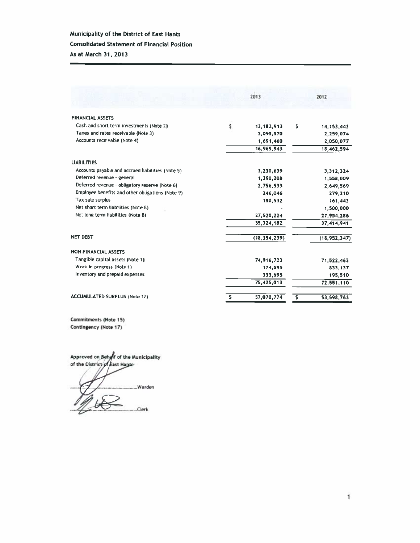# Municipality of the District of East Hants **Consolidated Statement of Financial Position** As at March 31, 2013

|                                                   | 2013 |                | 2012 |                |
|---------------------------------------------------|------|----------------|------|----------------|
| <b>FINANCIAL ASSETS</b>                           |      |                |      |                |
| Cash and short term investments (Note 2)          | \$   | 13,182,913     | \$   | 14, 153, 443   |
| Taxes and rates receivable (Note 3)               |      | 2,095,570      |      | 2,259,074      |
| Accounts receivable (Note 4)                      |      | 1,691,460      |      | 2,050,077      |
|                                                   |      | 16,969,943     |      | 18,462,594     |
| <b>LIABILITIES</b>                                |      |                |      |                |
| Accounts payable and accrued liabilities (Note 5) |      | 3,230,639      |      | 3,312,324      |
| Deferred revenue · general                        |      | 1,390,208      |      | 1,558,009      |
| Deferred revenue - obligatory reserve (Note 6)    |      | 2,756,533      |      | 2,649,569      |
| Employee benefits and other obligations (Note 9)  |      | 246,046        |      | 279,310        |
| Tax sale surplus                                  |      | 180,532        |      | 161,443        |
| Net short term liabilities (Note 8)               |      |                |      | 1,500,000      |
| Net long term liabilities (Note 8)                |      | 27,520,224     |      | 27,954,286     |
|                                                   |      | 35,324,182     |      | 37,414,941     |
| <b>NET DEBT</b>                                   |      | (18, 354, 239) |      | (18, 952, 347) |
| <b>NON FINANCIAL ASSETS</b>                       |      |                |      |                |
| Tangible capital assets (Note 1)                  |      | 74,916,723     |      | 71,522,463     |
| Work in progress (Note 1)                         |      | 174,595        |      | 833, 137       |
| Inventory and prepaid expenses                    |      | 333,695        |      | 195,510        |
|                                                   |      | 75,425,013     |      | 72,551,110     |
| <b>ACCUMULATED SURPLUS (Note 12)</b>              | s    | 57,070,774     | \$   | 53,598,763     |

Commitments (Note 15) Contingency (Note 17)

Approved on Behalf of the Municipality<br>of the District of East Hante

.............Warden ...Clerk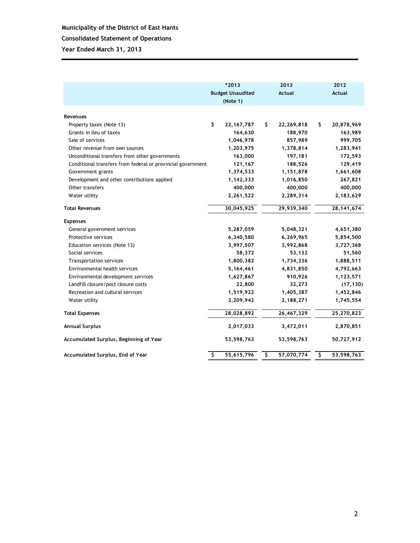# **Consolidated Statement of Operations**

|                                                             | 2013<br>$*2013$         |              |               |            | 2012          |              |  |
|-------------------------------------------------------------|-------------------------|--------------|---------------|------------|---------------|--------------|--|
|                                                             | <b>Budget Unaudited</b> |              | <b>Actual</b> |            | <b>Actual</b> |              |  |
|                                                             |                         | (Note 1)     |               |            |               |              |  |
|                                                             |                         |              |               |            |               |              |  |
| Revenues                                                    |                         |              |               |            |               |              |  |
| Property taxes (Note 13)                                    | \$                      | 22, 167, 787 | \$            | 22,269,818 | S.            | 20,878,969   |  |
| Grants in lieu of taxes                                     |                         | 164,630      |               | 188,970    |               | 163,989      |  |
| Sale of services                                            |                         | 1,046,978    |               | 857,989    |               | 999,705      |  |
| Other revenue from own sources                              |                         | 1,203,975    |               | 1,378,814  |               | 1,283,941    |  |
| Unconditional transfers from other governments              |                         | 163,000      |               | 197,181    |               | 172,593      |  |
| Conditional transfers from federal or provincial government |                         | 121,167      |               | 188,526    |               | 129,419      |  |
| Government grants                                           |                         | 1,374,533    |               | 1,151,878  |               | 1,661,608    |  |
| Development and other contributions applied                 |                         | 1,142,333    |               | 1,016,850  |               | 267,821      |  |
| Other transfers                                             |                         | 400,000      |               | 400,000    |               | 400,000      |  |
| Water utility                                               |                         | 2,261,522    |               | 2,289,314  |               | 2,183,629    |  |
| <b>Total Revenues</b>                                       |                         | 30,045,925   |               | 29,939,340 |               | 28, 141, 674 |  |
| <b>Expenses</b>                                             |                         |              |               |            |               |              |  |
| General government services                                 |                         | 5,287,059    |               | 5,048,321  |               | 4,651,380    |  |
| Protective services                                         |                         | 6,340,580    |               | 6,269,965  |               | 5,854,500    |  |
| Education services (Note 13)                                |                         | 3,997,507    |               | 3,992,868  |               | 3,727,368    |  |
| Social services                                             |                         | 58,372       |               | 53,132     |               | 51,560       |  |
| <b>Transportation services</b>                              |                         | 1,800,382    |               | 1,734,336  |               | 1,888,511    |  |
| Environmental health services                               |                         | 5,164,461    |               | 4,831,850  |               | 4,792,663    |  |
| Environmental development services                          |                         | 1,627,867    |               | 910,926    |               | 1,123,571    |  |
| Landfill closure/post closure costs                         |                         | 22,800       |               | 32,273     |               | (17, 130)    |  |
| Recreation and cultural services                            |                         | 1,519,922    |               | 1,405,387  |               | 1,452,846    |  |
| Water utility                                               |                         | 2,209,942    |               | 2,188,271  |               | 1,745,554    |  |
| <b>Total Expenses</b>                                       |                         | 28,028,892   |               | 26,467,329 |               | 25,270,823   |  |
| <b>Annual Surplus</b>                                       |                         | 2,017,033    |               | 3,472,011  |               | 2,870,851    |  |
| Accumulated Surplus, Beginning of Year                      |                         | 53,598,763   |               | 53,598,763 |               | 50,727,912   |  |
| Accumulated Surplus, End of Year                            | \$                      | 55,615,796   | \$            | 57,070,774 | \$            | 53,598,763   |  |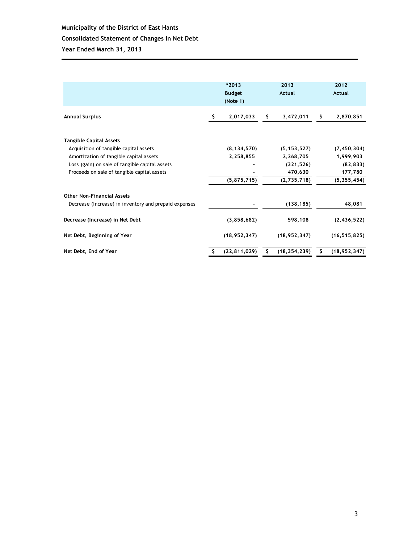# **Municipality of the District of East Hants Consolidated Statement of Changes in Net Debt Year Ended March 31, 2013**

|                                                       |   | *2013          | 2013                 |    | 2012           |
|-------------------------------------------------------|---|----------------|----------------------|----|----------------|
|                                                       |   | <b>Budget</b>  | Actual               |    | Actual         |
|                                                       |   | (Note 1)       |                      |    |                |
|                                                       |   |                |                      |    |                |
| <b>Annual Surplus</b>                                 | S | 2,017,033      | \$<br>3,472,011      | S. | 2,870,851      |
|                                                       |   |                |                      |    |                |
| <b>Tangible Capital Assets</b>                        |   |                |                      |    |                |
| Acquisition of tangible capital assets                |   | (8, 134, 570)  | (5, 153, 527)        |    | (7, 450, 304)  |
| Amortization of tangible capital assets               |   | 2,258,855      | 2,268,705            |    | 1,999,903      |
| Loss (gain) on sale of tangible capital assets        |   |                | (321, 526)           |    | (82, 833)      |
| Proceeds on sale of tangible capital assets           |   |                | 470,630              |    | 177,780        |
|                                                       |   | (5, 875, 715)  | (2,735,718)          |    | (5, 355, 454)  |
| <b>Other Non-Financial Assets</b>                     |   |                |                      |    |                |
| Decrease (Increase) in inventory and prepaid expenses |   |                | (138, 185)           |    | 48,081         |
| Decrease (Increase) in Net Debt                       |   | (3,858,682)    | 598,108              |    | (2, 436, 522)  |
| Net Debt, Beginning of Year                           |   | (18, 952, 347) | (18, 952, 347)       |    | (16, 515, 825) |
| Net Debt, End of Year                                 |   | (22, 811, 029) | \$<br>(18, 354, 239) | s  | (18, 952, 347) |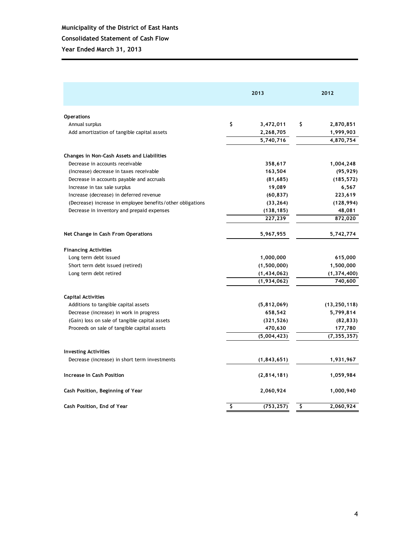# **Municipality of the District of East Hants Consolidated Statement of Cash Flow**

|                                                            | 2013             | 2012            |
|------------------------------------------------------------|------------------|-----------------|
| <b>Operations</b>                                          |                  |                 |
| Annual surplus                                             | \$<br>3,472,011  | \$<br>2,870,851 |
| Add amortization of tangible capital assets                | 2,268,705        | 1,999,903       |
|                                                            | 5,740,716        | 4,870,754       |
| Changes in Non-Cash Assets and Liabilities                 |                  |                 |
| Decrease in accounts receivable                            | 358,617          | 1,004,248       |
| (Increase) decrease in taxes receivable                    | 163,504          | (95, 929)       |
| Decrease in accounts payable and accruals                  | (81, 685)        | (185, 572)      |
| Increase in tax sale surplus                               | 19,089           | 6,567           |
| Increase (decrease) in deferred revenue                    | (60, 837)        | 223,619         |
| (Decrease) increase in employee benefits/other obligations | (33, 264)        | (128, 994)      |
| Decrease in inventory and prepaid expenses                 | (138, 185)       | 48,081          |
|                                                            | 227,239          | 872,020         |
| Net Change in Cash From Operations                         | 5,967,955        | 5,742,774       |
| <b>Financing Activities</b>                                |                  |                 |
| Long term debt issued                                      | 1,000,000        | 615,000         |
| Short term debt issued (retired)                           | (1,500,000)      | 1,500,000       |
| Long term debt retired                                     | (1,434,062)      | (1, 374, 400)   |
|                                                            | (1,934,062)      | 740,600         |
| <b>Capital Activities</b>                                  |                  |                 |
| Additions to tangible capital assets                       | (5,812,069)      | (13, 250, 118)  |
| Decrease (increase) in work in progress                    | 658,542          | 5,799,814       |
| (Gain) loss on sale of tangible capital assets             | (321, 526)       | (82, 833)       |
| Proceeds on sale of tangible capital assets                | 470,630          | 177,780         |
|                                                            | (5,004,423)      | (7, 355, 357)   |
| <b>Investing Activities</b>                                |                  |                 |
| Decrease (increase) in short term investments              | (1,843,651)      | 1,931,967       |
| <b>Increase in Cash Position</b>                           | (2,814,181)      | 1,059,984       |
| Cash Position, Beginning of Year                           | 2,060,924        | 1,000,940       |
| Cash Position, End of Year                                 | \$<br>(753, 257) | \$<br>2,060,924 |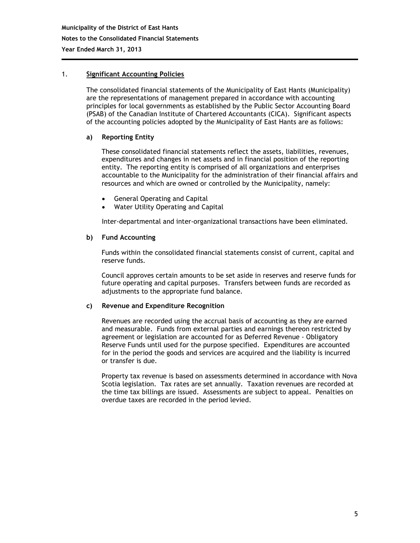### 1. **Significant Accounting Policies**

The consolidated financial statements of the Municipality of East Hants (Municipality) are the representations of management prepared in accordance with accounting principles for local governments as established by the Public Sector Accounting Board (PSAB) of the Canadian Institute of Chartered Accountants (CICA). Significant aspects of the accounting policies adopted by the Municipality of East Hants are as follows:

### **a) Reporting Entity**

These consolidated financial statements reflect the assets, liabilities, revenues, expenditures and changes in net assets and in financial position of the reporting entity. The reporting entity is comprised of all organizations and enterprises accountable to the Municipality for the administration of their financial affairs and resources and which are owned or controlled by the Municipality, namely:

- General Operating and Capital
- Water Utility Operating and Capital

Inter-departmental and inter-organizational transactions have been eliminated.

### **b) Fund Accounting**

Funds within the consolidated financial statements consist of current, capital and reserve funds.

Council approves certain amounts to be set aside in reserves and reserve funds for future operating and capital purposes. Transfers between funds are recorded as adjustments to the appropriate fund balance.

### **c) Revenue and Expenditure Recognition**

Revenues are recorded using the accrual basis of accounting as they are earned and measurable. Funds from external parties and earnings thereon restricted by agreement or legislation are accounted for as Deferred Revenue - Obligatory Reserve Funds until used for the purpose specified. Expenditures are accounted for in the period the goods and services are acquired and the liability is incurred or transfer is due.

Property tax revenue is based on assessments determined in accordance with Nova Scotia legislation. Tax rates are set annually. Taxation revenues are recorded at the time tax billings are issued. Assessments are subject to appeal. Penalties on overdue taxes are recorded in the period levied.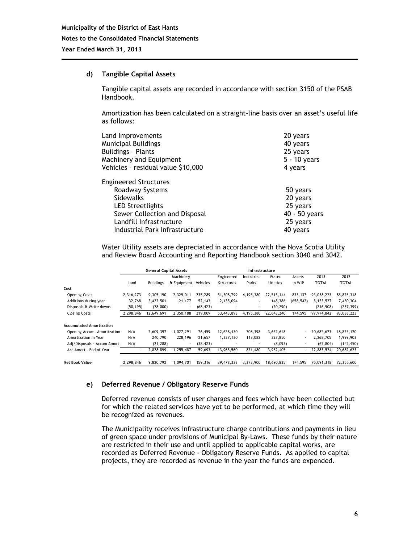#### **d) Tangible Capital Assets**

Tangible capital assets are recorded in accordance with section 3150 of the PSAB Handbook.

Amortization has been calculated on a straight-line basis over an asset's useful life as follows:

| Land Improvements                                                                                                                                                                            | 20 years                                                                  |
|----------------------------------------------------------------------------------------------------------------------------------------------------------------------------------------------|---------------------------------------------------------------------------|
| Municipal Buildings                                                                                                                                                                          | 40 years                                                                  |
| <b>Buildings - Plants</b>                                                                                                                                                                    | 25 years                                                                  |
| Machinery and Equipment                                                                                                                                                                      | 5 - 10 years                                                              |
| Vehicles - residual value \$10,000                                                                                                                                                           | 4 years                                                                   |
| <b>Engineered Structures</b><br>Roadway Systems<br><b>Sidewalks</b><br><b>LED Streetlights</b><br>Sewer Collection and Disposal<br>Landfill Infrastructure<br>Industrial Park Infrastructure | 50 years<br>20 years<br>25 years<br>40 - 50 years<br>25 years<br>40 years |

Water Utility assets are depreciated in accordance with the Nova Scotia Utility and Review Board Accounting and Reporting Handbook section 3040 and 3042.

|                                 |           | <b>General Capital Assets</b> |             |           |                   | Infrastructure |                  |            |              |              |
|---------------------------------|-----------|-------------------------------|-------------|-----------|-------------------|----------------|------------------|------------|--------------|--------------|
|                                 |           |                               | Machinery   |           | Engineered        | Industrial     | Water            | Assets     | 2013         | 2012         |
|                                 | Land      | <b>Buildings</b>              | & Equipment | Vehicles  | <b>Structures</b> | Parks          | <b>Utilities</b> | in WIP     | <b>TOTAL</b> | <b>TOTAL</b> |
| Cost                            |           |                               |             |           |                   |                |                  |            |              |              |
| <b>Opening Costs</b>            | 2,316,273 | 9,305,190                     | 2,329,011   | 235.289   | 51,308,799        | 4,195,380      | 22,515,144       | 833,137    | 93,038,223   | 85,825,318   |
| Additions during year           | 32,768    | 3,422,501                     | 21,177      | 52,143    | 2,135,094         | ٠              | 148,386          | (658, 542) | 5, 153, 527  | 7,450,304    |
| Disposals & Write downs         | (50, 195) | (78,000)                      |             | (68, 423) |                   |                | (20, 290)        |            | (216,908)    | (237, 399)   |
| <b>Closing Costs</b>            | 2,298,846 | 12,649,691                    | 2.350.188   | 219,009   | 53,443,893        | 4.195.380      | 22,643,240       | 174,595    | 97.974.842   | 93,038,223   |
|                                 |           |                               |             |           |                   |                |                  |            |              |              |
| <b>Accumulated Amortization</b> |           |                               |             |           |                   |                |                  |            |              |              |
| Opening Accum. Amortization     | N/A       | 2,609,397                     | 1,027,291   | 76,459    | 12,628,430        | 708,398        | 3,632,648        |            | 20,682,623   | 18,825,170   |
| Amortization in Year            | N/A       | 240,790                       | 228,196     | 21.657    | 1,337,130         | 113,082        | 327,850          | ٠          | 2,268,705    | 1,999,903    |
| Adj/Disposals - Accum Amort     | N/A       | (21, 288)                     |             | (38, 423) |                   |                | (8,093)          | ٠          | (67, 804)    | (142, 450)   |
| Acc Amort - End of Year         |           | 2,828,899                     | 1,255,487   | 59,693    | 13,965,560        | 821,480        | 3,952,405        |            | 22,883,524   | 20,682,623   |
| <b>Net Book Value</b>           | 2,298,846 | 9,820,792                     | 1,094,701   | 159,316   | 39,478,333        | 3,373,900      | 18,690,835       | 174,595    | 75,091,318   | 72,355,600   |

### **e) Deferred Revenue / Obligatory Reserve Funds**

Deferred revenue consists of user charges and fees which have been collected but for which the related services have yet to be performed, at which time they will be recognized as revenues.

The Municipality receives infrastructure charge contributions and payments in lieu of green space under provisions of Municipal By-Laws. These funds by their nature are restricted in their use and until applied to applicable capital works, are recorded as Deferred Revenue - Obligatory Reserve Funds. As applied to capital projects, they are recorded as revenue in the year the funds are expended.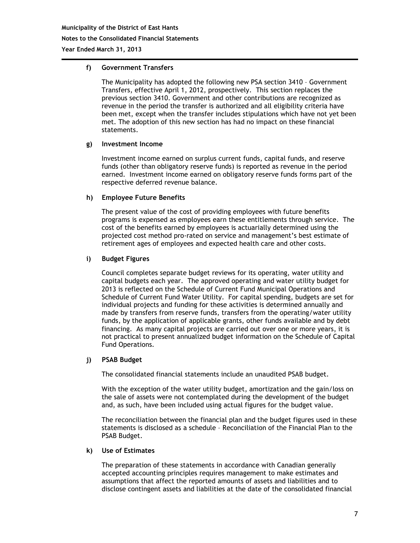### **f) Government Transfers**

The Municipality has adopted the following new PSA section 3410 – Government Transfers, effective April 1, 2012, prospectively. This section replaces the previous section 3410. Government and other contributions are recognized as revenue in the period the transfer is authorized and all eligibility criteria have been met, except when the transfer includes stipulations which have not yet been met. The adoption of this new section has had no impact on these financial statements.

### **g) Investment Income**

Investment income earned on surplus current funds, capital funds, and reserve funds (other than obligatory reserve funds) is reported as revenue in the period earned. Investment income earned on obligatory reserve funds forms part of the respective deferred revenue balance.

### **h) Employee Future Benefits**

The present value of the cost of providing employees with future benefits programs is expensed as employees earn these entitlements through service. The cost of the benefits earned by employees is actuarially determined using the projected cost method pro-rated on service and management's best estimate of retirement ages of employees and expected health care and other costs.

### **i) Budget Figures**

Council completes separate budget reviews for its operating, water utility and capital budgets each year. The approved operating and water utility budget for 2013 is reflected on the Schedule of Current Fund Municipal Operations and Schedule of Current Fund Water Utility. For capital spending, budgets are set for individual projects and funding for these activities is determined annually and made by transfers from reserve funds, transfers from the operating/water utility funds, by the application of applicable grants, other funds available and by debt financing. As many capital projects are carried out over one or more years, it is not practical to present annualized budget information on the Schedule of Capital Fund Operations.

### **j) PSAB Budget**

The consolidated financial statements include an unaudited PSAB budget.

With the exception of the water utility budget, amortization and the gain/loss on the sale of assets were not contemplated during the development of the budget and, as such, have been included using actual figures for the budget value.

The reconciliation between the financial plan and the budget figures used in these statements is disclosed as a schedule – Reconciliation of the Financial Plan to the PSAB Budget.

### **k) Use of Estimates**

The preparation of these statements in accordance with Canadian generally accepted accounting principles requires management to make estimates and assumptions that affect the reported amounts of assets and liabilities and to disclose contingent assets and liabilities at the date of the consolidated financial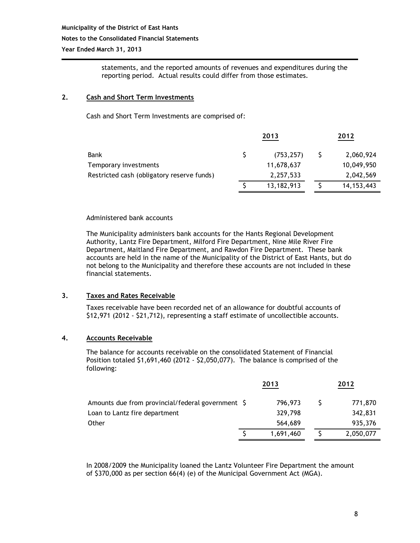statements, and the reported amounts of revenues and expenditures during the reporting period. Actual results could differ from those estimates.

### **2. Cash and Short Term Investments**

Cash and Short Term Investments are comprised of:

|                                            | 2013       | 2012         |
|--------------------------------------------|------------|--------------|
| <b>Bank</b>                                | (753, 257) | 2,060,924    |
| Temporary investments                      | 11,678,637 | 10,049,950   |
| Restricted cash (obligatory reserve funds) | 2,257,533  | 2,042,569    |
|                                            | 13,182,913 | 14, 153, 443 |

### Administered bank accounts

The Municipality administers bank accounts for the Hants Regional Development Authority, Lantz Fire Department, Milford Fire Department, Nine Mile River Fire Department, Maitland Fire Department, and Rawdon Fire Department. These bank accounts are held in the name of the Municipality of the District of East Hants, but do not belong to the Municipality and therefore these accounts are not included in these financial statements.

### **3. Taxes and Rates Receivable**

Taxes receivable have been recorded net of an allowance for doubtful accounts of \$12,971 (2012 - \$21,712), representing a staff estimate of uncollectible accounts.

### **4. Accounts Receivable**

The balance for accounts receivable on the consolidated Statement of Financial Position totaled \$1,691,460 (2012 - \$2,050,077). The balance is comprised of the following:

|                                                   | 2013      | 2012      |  |  |
|---------------------------------------------------|-----------|-----------|--|--|
| Amounts due from provincial/federal government \$ | 796.973   | 771,870   |  |  |
| Loan to Lantz fire department                     | 329,798   | 342,831   |  |  |
| Other                                             | 564,689   | 935,376   |  |  |
|                                                   | 1,691,460 | 2,050,077 |  |  |

In 2008/2009 the Municipality loaned the Lantz Volunteer Fire Department the amount of \$370,000 as per section 66(4) (e) of the Municipal Government Act (MGA).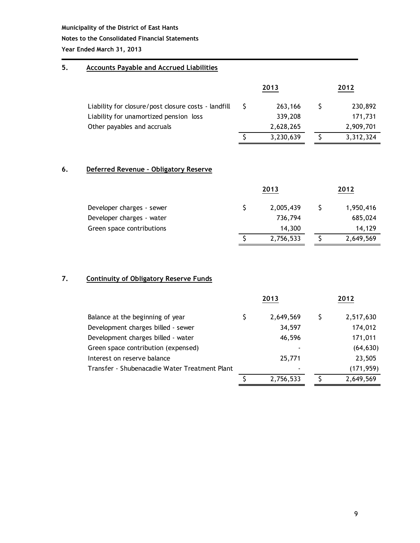### **Notes to the Consolidated Financial Statements**

**Year Ended March 31, 2013** 

# **5. Accounts Payable and Accrued Liabilities**

|                                                     | 2013      | 2012 |           |  |
|-----------------------------------------------------|-----------|------|-----------|--|
| Liability for closure/post closure costs - landfill | 263,166   |      | 230,892   |  |
| Liability for unamortized pension loss              | 339,208   |      | 171,731   |  |
| Other payables and accruals                         | 2,628,265 |      | 2,909,701 |  |
|                                                     | 3,230,639 |      | 3,312,324 |  |

# **6. Deferred Revenue – Obligatory Reserve**

|                           | 2013      | 2012 |           |  |
|---------------------------|-----------|------|-----------|--|
| Developer charges - sewer | 2,005,439 |      | 1,950,416 |  |
| Developer charges - water | 736,794   |      | 685,024   |  |
| Green space contributions | 14,300    |      | 14,129    |  |
|                           | 2,756,533 |      | 2,649,569 |  |

# **7. Continuity of Obligatory Reserve Funds**

|                                               | 2013      | 2012 |            |  |
|-----------------------------------------------|-----------|------|------------|--|
| Balance at the beginning of year              | 2,649,569 |      | 2,517,630  |  |
| Development charges billed - sewer            | 34,597    |      | 174,012    |  |
| Development charges billed - water            | 46,596    |      | 171,011    |  |
| Green space contribution (expensed)           |           |      | (64, 630)  |  |
| Interest on reserve balance                   | 25,771    |      | 23,505     |  |
| Transfer - Shubenacadie Water Treatment Plant | ٠         |      | (171, 959) |  |
|                                               | 2,756,533 |      | 2,649,569  |  |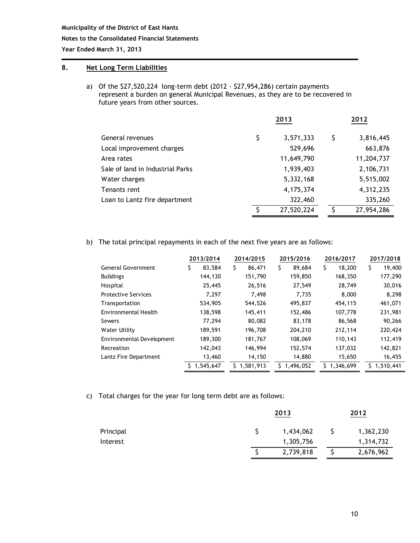### **Notes to the Consolidated Financial Statements**

**Year Ended March 31, 2013** 

### **8. Net Long Term Liabilities**

a) Of the \$27,520,224 long-term debt (2012 - \$27,954,286) certain payments represent a burden on general Municipal Revenues, as they are to be recovered in future years from other sources.

|                                  |    | 2013       | 2012            |  |  |
|----------------------------------|----|------------|-----------------|--|--|
| General revenues                 | \$ | 3,571,333  | \$<br>3,816,445 |  |  |
| Local improvement charges        |    | 529,696    | 663,876         |  |  |
| Area rates                       |    | 11,649,790 | 11,204,737      |  |  |
| Sale of land in Industrial Parks |    | 1,939,403  | 2,106,731       |  |  |
| Water charges                    |    | 5,332,168  | 5,515,002       |  |  |
| Tenants rent                     |    | 4,175,374  | 4,312,235       |  |  |
| Loan to Lantz fire department    |    | 322,460    | 335,260         |  |  |
|                                  | S  | 27,520,224 | 27,954,286      |  |  |

b) The total principal repayments in each of the next five years are as follows:

|                            | 2013/2014   | 2014/2015   | 2015/2016    | 2016/2017   | 2017/2018    |
|----------------------------|-------------|-------------|--------------|-------------|--------------|
| <b>General Government</b>  | S<br>83,584 | 86,471<br>s | \$<br>89.684 | 18,200<br>S | \$<br>19,400 |
| <b>Buildings</b>           | 144,130     | 151,790     | 159,850      | 168,350     | 177,290      |
| Hospital                   | 25,445      | 26,516      | 27,549       | 28,749      | 30,016       |
| <b>Protective Services</b> | 7,297       | 7,498       | 7,735        | 8,000       | 8,298        |
| Transportation             | 534,905     | 544,526     | 495,837      | 454,115     | 461,071      |
| Environmental Health       | 138,598     | 145,411     | 152,486      | 107,778     | 231,981      |
| Sewers                     | 77,294      | 80,082      | 83,178       | 86,568      | 90,266       |
| Water Utility              | 189,591     | 196,708     | 204,210      | 212,114     | 220,424      |
| Environmental Development  | 189,300     | 181,767     | 108,069      | 110,143     | 112,419      |
| Recreation                 | 142,043     | 146,994     | 152,574      | 137,032     | 142,821      |
| Lantz Fire Department      | 13,460      | 14,150      | 14,880       | 15,650      | 16,455       |
|                            | 1,545,647   | 1,581,913   | 1,496,052    | 1.346.699   | 1,510,441    |

c) Total charges for the year for long term debt are as follows:

|           | 2013      |  |           |
|-----------|-----------|--|-----------|
| Principal | 1,434,062 |  | 1,362,230 |
| Interest  | 1,305,756 |  | 1,314,732 |
|           | 2,739,818 |  | 2,676,962 |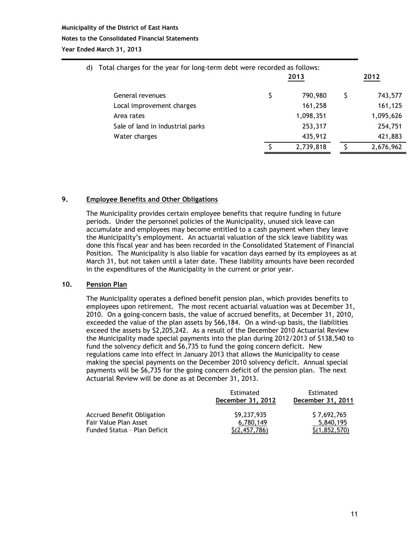# **Municipality of the District of East Hants Notes to the Consolidated Financial Statements Year Ended March 31, 2013**

| Total charges for the year for long-term debt were recorded as follows:<br>d) |           |           |
|-------------------------------------------------------------------------------|-----------|-----------|
|                                                                               | 2013      | 2012      |
| General revenues                                                              | 790,980   | 743,577   |
| Local improvement charges                                                     | 161,258   | 161,125   |
| Area rates                                                                    | 1,098,351 | 1,095,626 |
| Sale of land in industrial parks                                              | 253,317   | 254,751   |
| Water charges                                                                 | 435,912   | 421,883   |
|                                                                               | 2,739,818 | 2,676,962 |

### **9. Employee Benefits and Other Obligations**

The Municipality provides certain employee benefits that require funding in future periods. Under the personnel policies of the Municipality, unused sick leave can accumulate and employees may become entitled to a cash payment when they leave the Municipality's employment. An actuarial valuation of the sick leave liability was done this fiscal year and has been recorded in the Consolidated Statement of Financial Position. The Municipality is also liable for vacation days earned by its employees as at March 31, but not taken until a later date. These liability amounts have been recorded in the expenditures of the Municipality in the current or prior year.

### **10. Pension Plan**

The Municipality operates a defined benefit pension plan, which provides benefits to employees upon retirement. The most recent actuarial valuation was at December 31, 2010. On a going-concern basis, the value of accrued benefits, at December 31, 2010, exceeded the value of the plan assets by \$66,184. On a wind-up basis, the liabilities exceed the assets by \$2,205,242. As a result of the December 2010 Actuarial Review the Municipality made special payments into the plan during 2012/2013 of \$138,540 to fund the solvency deficit and \$6,735 to fund the going concern deficit. New regulations came into effect in January 2013 that allows the Municipality to cease making the special payments on the December 2010 solvency deficit. Annual special payments will be \$6,735 for the going concern deficit of the pension plan. The next Actuarial Review will be done as at December 31, 2013.

|                                                     | Estimated<br>December 31, 2012 | Estimated<br>December 31, 2011 |  |  |
|-----------------------------------------------------|--------------------------------|--------------------------------|--|--|
| Accrued Benefit Obligation<br>Fair Value Plan Asset | \$9,237,935<br>6,780,149       | \$7,692,765<br>5,840,195       |  |  |
| Funded Status - Plan Deficit                        | S(2.457.786)                   | 1.852.570)                     |  |  |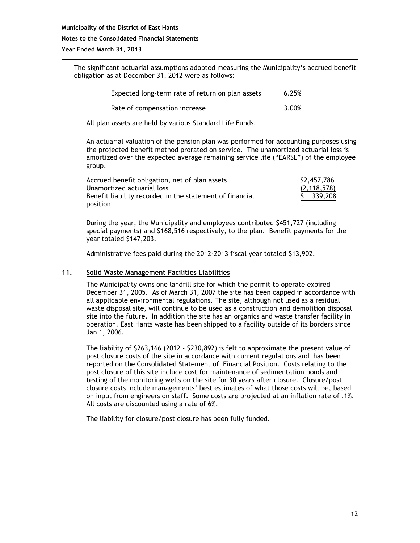The significant actuarial assumptions adopted measuring the Municipality's accrued benefit obligation as at December 31, 2012 were as follows:

| Expected long-term rate of return on plan assets | 6.25% |
|--------------------------------------------------|-------|
| Rate of compensation increase                    | 3.00% |

All plan assets are held by various Standard Life Funds.

An actuarial valuation of the pension plan was performed for accounting purposes using the projected benefit method prorated on service. The unamortized actuarial loss is amortized over the expected average remaining service life ("EARSL") of the employee group.

| Accrued benefit obligation, net of plan assets           | \$2,457,786   |
|----------------------------------------------------------|---------------|
| Unamortized actuarial loss                               | (2, 118, 578) |
| Benefit liability recorded in the statement of financial | \$339,208     |
| position                                                 |               |

During the year, the Municipality and employees contributed \$451,727 (including special payments) and \$168,516 respectively, to the plan. Benefit payments for the year totaled \$147,203.

Administrative fees paid during the 2012-2013 fiscal year totaled \$13,902.

### **11. Solid Waste Management Facilities Liabilities**

The Municipality owns one landfill site for which the permit to operate expired December 31, 2005. As of March 31, 2007 the site has been capped in accordance with all applicable environmental regulations. The site, although not used as a residual waste disposal site, will continue to be used as a construction and demolition disposal site into the future. In addition the site has an organics and waste transfer facility in operation. East Hants waste has been shipped to a facility outside of its borders since Jan 1, 2006.

The liability of \$263,166 (2012 - \$230,892) is felt to approximate the present value of post closure costs of the site in accordance with current regulations and has been reported on the Consolidated Statement of Financial Position. Costs relating to the post closure of this site include cost for maintenance of sedimentation ponds and testing of the monitoring wells on the site for 30 years after closure. Closure/post closure costs include managements' best estimates of what those costs will be, based on input from engineers on staff. Some costs are projected at an inflation rate of .1%. All costs are discounted using a rate of 6%.

The liability for closure/post closure has been fully funded.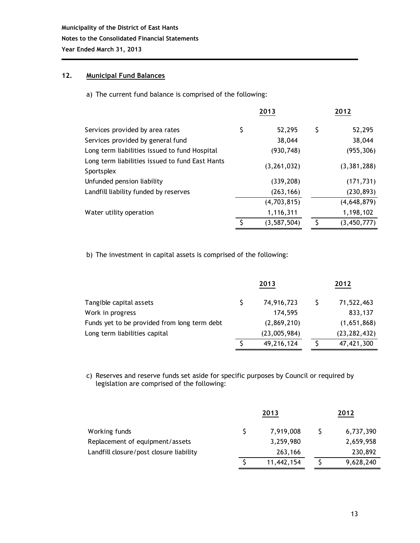# **12. Municipal Fund Balances**

a) The current fund balance is comprised of the following:

|                                                               |    | 2013          | 2012 |               |  |
|---------------------------------------------------------------|----|---------------|------|---------------|--|
| Services provided by area rates                               | \$ | 52,295        | S    | 52,295        |  |
| Services provided by general fund                             |    | 38,044        |      | 38,044        |  |
| Long term liabilities issued to fund Hospital                 |    | (930, 748)    |      | (955, 306)    |  |
| Long term liabilities issued to fund East Hants<br>Sportsplex |    | (3, 261, 032) |      | (3, 381, 288) |  |
| Unfunded pension liability                                    |    | (339, 208)    |      | (171, 731)    |  |
| Landfill liability funded by reserves                         |    | (263, 166)    |      | (230, 893)    |  |
|                                                               |    | (4,703,815)   |      | (4,648,879)   |  |
| Water utility operation                                       |    | 1,116,311     |      | 1,198,102     |  |
|                                                               |    | (3, 587, 504) | ς    | (3, 450, 777) |  |

b) The investment in capital assets is comprised of the following:

|                                              |  | 2013         | 2012 |                |  |
|----------------------------------------------|--|--------------|------|----------------|--|
| Tangible capital assets                      |  | 74,916,723   |      | 71,522,463     |  |
| Work in progress                             |  | 174,595      |      | 833,137        |  |
| Funds yet to be provided from long term debt |  | (2,869,210)  |      | (1,651,868)    |  |
| Long term liabilities capital                |  | (23,005,984) |      | (23, 282, 432) |  |
|                                              |  | 49,216,124   |      | 47,421,300     |  |

c) Reserves and reserve funds set aside for specific purposes by Council or required by legislation are comprised of the following:

| Working funds                           | 2013       | 2012 |           |  |
|-----------------------------------------|------------|------|-----------|--|
|                                         | 7.919.008  |      | 6,737,390 |  |
| Replacement of equipment/assets         | 3,259,980  |      | 2,659,958 |  |
| Landfill closure/post closure liability | 263,166    |      | 230,892   |  |
|                                         | 11,442,154 |      | 9,628,240 |  |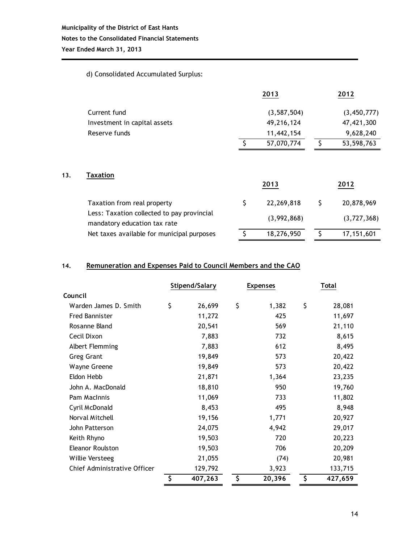# **Municipality of the District of East Hants Notes to the Consolidated Financial Statements Year Ended March 31, 2013**

 $13.$ 

d) Consolidated Accumulated Surplus:

|                                                                            |    | 2013          |    | 2012         |
|----------------------------------------------------------------------------|----|---------------|----|--------------|
| Current fund                                                               |    | (3, 587, 504) |    | (3,450,777)  |
| Investment in capital assets                                               |    | 49,216,124    |    | 47,421,300   |
| Reserve funds                                                              |    | 11,442,154    |    | 9,628,240    |
|                                                                            | ς  | 57,070,774    | S. | 53,598,763   |
| <b>Taxation</b>                                                            |    | 2013          |    | 2012         |
| Taxation from real property                                                | \$ | 22,269,818    | \$ | 20,878,969   |
| Less: Taxation collected to pay provincial<br>mandatory education tax rate |    | (3,992,868)   |    | (3,727,368)  |
| Net taxes available for municipal purposes                                 |    | 18,276,950    | S  | 17, 151, 601 |

# **14. Remuneration and Expenses Paid to Council Members and the CAO**

|                              | Stipend/Salary |         | <b>Expenses</b> |    | Total   |
|------------------------------|----------------|---------|-----------------|----|---------|
| Council                      |                |         |                 |    |         |
| Warden James D. Smith        | \$             | 26,699  | \$<br>1,382     | \$ | 28,081  |
| Fred Bannister               |                | 11,272  | 425             |    | 11,697  |
| Rosanne Bland                |                | 20,541  | 569             |    | 21,110  |
| Cecil Dixon                  |                | 7,883   | 732             |    | 8,615   |
| Albert Flemming              |                | 7,883   | 612             |    | 8,495   |
| <b>Greg Grant</b>            |                | 19,849  | 573             |    | 20,422  |
| Wayne Greene                 |                | 19,849  | 573             |    | 20,422  |
| Eldon Hebb                   |                | 21,871  | 1,364           |    | 23,235  |
| John A. MacDonald            |                | 18,810  | 950             |    | 19,760  |
| Pam MacInnis                 |                | 11,069  | 733             |    | 11,802  |
| Cyril McDonald               |                | 8,453   | 495             |    | 8,948   |
| Norval Mitchell              |                | 19,156  | 1,771           |    | 20,927  |
| John Patterson               |                | 24,075  | 4,942           |    | 29,017  |
| Keith Rhyno                  |                | 19,503  | 720             |    | 20,223  |
| <b>Eleanor Roulston</b>      |                | 19,503  | 706             |    | 20,209  |
| Willie Versteeg              |                | 21,055  | (74)            |    | 20,981  |
| Chief Administrative Officer |                | 129,792 | 3,923           |    | 133,715 |
|                              | \$             | 407,263 | \$<br>20,396    | \$ | 427,659 |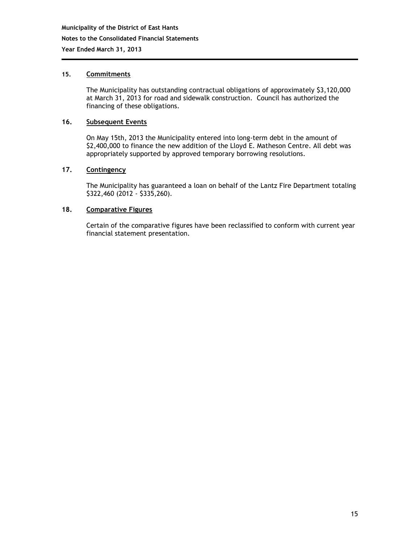### **15. Commitments**

The Municipality has outstanding contractual obligations of approximately \$3,120,000 at March 31, 2013 for road and sidewalk construction. Council has authorized the financing of these obligations.

### **16. Subsequent Events**

On May 15th, 2013 the Municipality entered into long-term debt in the amount of \$2,400,000 to finance the new addition of the Lloyd E. Matheson Centre. All debt was appropriately supported by approved temporary borrowing resolutions.

### **17. Contingency**

The Municipality has guaranteed a loan on behalf of the Lantz Fire Department totaling \$322,460 (2012 - \$335,260).

### **18. Comparative Figures**

Certain of the comparative figures have been reclassified to conform with current year financial statement presentation.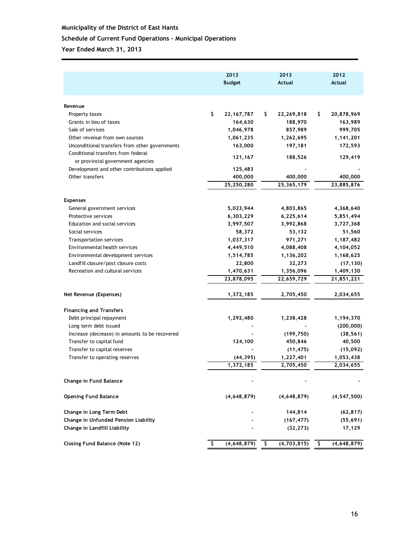# **Schedule of Current Fund Operations – Municipal Operations**

|                                                | 2013               |     | 2013        |     | 2012          |
|------------------------------------------------|--------------------|-----|-------------|-----|---------------|
|                                                | <b>Budget</b>      |     | Actual      |     | Actual        |
| Revenue                                        |                    |     |             |     |               |
| Property taxes                                 | \$<br>22, 167, 787 | \$. | 22,269,818  | \$  | 20,878,969    |
| Grants in lieu of taxes                        | 164,630            |     | 188,970     |     | 163,989       |
| Sale of services                               | 1,046,978          |     | 857,989     |     | 999,705       |
| Other revenue from own sources                 | 1,061,235          |     | 1,262,695   |     | 1,141,201     |
| Unconditional transfers from other governments | 163,000            |     | 197,181     |     | 172,593       |
| Conditional transfers from federal             |                    |     |             |     |               |
| or provincial government agencies              | 121,167            |     | 188,526     |     | 129,419       |
| Development and other contributions applied    | 125,483            |     |             |     |               |
| Other transfers                                | 400,000            |     | 400,000     |     | 400,000       |
|                                                | 25,250,280         |     | 25,365,179  |     | 23,885,876    |
|                                                |                    |     |             |     |               |
| <b>Expenses</b><br>General government services | 5,023,944          |     | 4,803,865   |     | 4,368,640     |
| Protective services                            | 6,303,229          |     | 6,225,614   |     | 5,851,494     |
| Education and social services                  | 3,997,507          |     | 3,992,868   |     | 3,727,368     |
| Social services                                | 58,372             |     | 53,132      |     | 51,560        |
| Transportation services                        | 1,037,317          |     | 971,271     |     | 1,187,482     |
| Environmental health services                  | 4,449,510          |     | 4,088,408   |     | 4,104,052     |
| Environmental development services             | 1,514,785          |     | 1,136,202   |     | 1,168,625     |
| Landfill closure/post closure costs            | 22,800             |     | 32,273      |     | (17, 130)     |
| Recreation and cultural services               | 1,470,631          |     | 1,356,096   |     | 1,409,130     |
|                                                | 23,878,095         |     | 22,659,729  |     | 21,851,221    |
|                                                |                    |     |             |     |               |
| Net Revenue (Expenses)                         | 1,372,185          |     | 2,705,450   |     | 2,034,655     |
| <b>Financing and Transfers</b>                 |                    |     |             |     |               |
| Debt principal repayment                       | 1,292,480          |     | 1,238,428   |     | 1,194,370     |
| Long term debt issued                          |                    |     |             |     | (200, 000)    |
| Increase (decrease) in amounts to be recovered |                    |     | (199, 750)  |     | (38, 561)     |
| Transfer to capital fund                       | 124,100            |     | 450,846     |     | 40,500        |
| Transfer to capital reserves                   |                    |     | (11, 475)   |     | (15,092)      |
| Transfer to operating reserves                 | (44, 395)          |     | 1,227,401   |     | 1,053,438     |
|                                                | 1,372,185          |     | 2,705,450   |     | 2,034,655     |
| Change in Fund Balance                         |                    |     |             |     |               |
| <b>Opening Fund Balance</b>                    | (4,648,879)        |     | (4,648,879) |     | (4, 547, 500) |
| Change in Long Term Debt                       |                    |     | 144,814     |     | (62, 817)     |
| Change in Unfunded Pension Liability           |                    |     | (167, 477)  |     | (55, 691)     |
| Change in Landfill Liability                   |                    |     | (32, 273)   |     | 17,129        |
| <b>Closing Fund Balance (Note 12)</b>          | \$<br>(4,648,879)  | \$  | (4,703,815) | \$. | (4,648,879)   |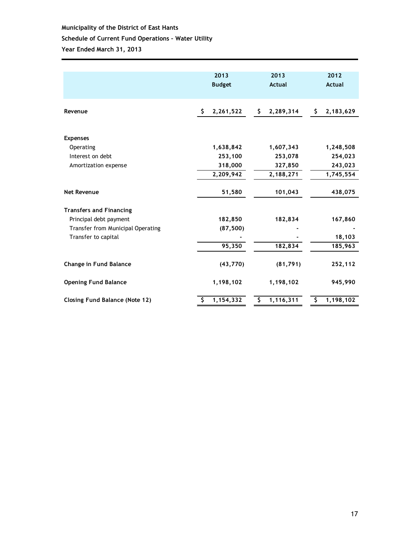# **Schedule of Current Fund Operations – Water Utility**

|                                       | 2013            | 2013             | 2012             |
|---------------------------------------|-----------------|------------------|------------------|
|                                       | <b>Budget</b>   | <b>Actual</b>    | <b>Actual</b>    |
|                                       |                 |                  |                  |
| Revenue                               | \$<br>2,261,522 | \$.<br>2,289,314 | \$.<br>2,183,629 |
|                                       |                 |                  |                  |
| <b>Expenses</b>                       |                 |                  |                  |
| Operating                             | 1,638,842       | 1,607,343        | 1,248,508        |
| Interest on debt                      | 253,100         | 253,078          | 254,023          |
| Amortization expense                  | 318,000         | 327,850          | 243,023          |
|                                       | 2,209,942       | 2,188,271        | 1,745,554        |
| <b>Net Revenue</b>                    | 51,580          | 101,043          | 438,075          |
| <b>Transfers and Financing</b>        |                 |                  |                  |
| Principal debt payment                | 182,850         | 182,834          | 167,860          |
| Transfer from Municipal Operating     | (87, 500)       |                  |                  |
| Transfer to capital                   |                 |                  | 18,103           |
|                                       | 95,350          | 182,834          | 185,963          |
| <b>Change in Fund Balance</b>         | (43, 770)       | (81, 791)        | 252,112          |
| <b>Opening Fund Balance</b>           | 1,198,102       | 1,198,102        | 945,990          |
| <b>Closing Fund Balance (Note 12)</b> | 1,154,332<br>S. | \$<br>1,116,311  | \$<br>1,198,102  |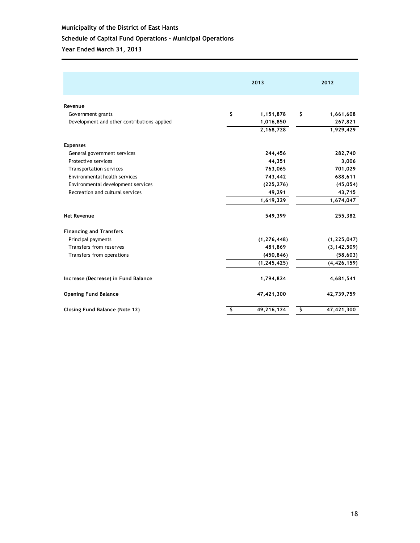# **Schedule of Capital Fund Operations – Municipal Operations**

|                                             | 2013 |               |    | 2012          |
|---------------------------------------------|------|---------------|----|---------------|
| Revenue                                     |      |               |    |               |
| Government grants                           | \$   | 1,151,878     | \$ | 1,661,608     |
| Development and other contributions applied |      | 1,016,850     |    | 267,821       |
|                                             |      | 2,168,728     |    | 1,929,429     |
| Expenses                                    |      |               |    |               |
| General government services                 |      | 244,456       |    | 282,740       |
| Protective services                         |      | 44,351        |    | 3,006         |
| <b>Transportation services</b>              |      | 763,065       |    | 701,029       |
| Environmental health services               |      | 743,442       |    | 688,611       |
| Environmental development services          |      | (225, 276)    |    | (45, 054)     |
| Recreation and cultural services            |      | 49,291        |    | 43,715        |
|                                             |      | 1,619,329     |    | 1,674,047     |
| <b>Net Revenue</b>                          |      | 549,399       |    | 255,382       |
| <b>Financing and Transfers</b>              |      |               |    |               |
| Principal payments                          |      | (1, 276, 448) |    | (1, 225, 047) |
| Transfers from reserves                     |      | 481,869       |    | (3, 142, 509) |
| Transfers from operations                   |      | (450, 846)    |    | (58, 603)     |
|                                             |      | (1, 245, 425) |    | (4, 426, 159) |
| Increase (Decrease) in Fund Balance         |      | 1,794,824     |    | 4,681,541     |
| <b>Opening Fund Balance</b>                 |      | 47,421,300    |    | 42,739,759    |
| <b>Closing Fund Balance (Note 12)</b>       | \$   | 49,216,124    | \$ | 47,421,300    |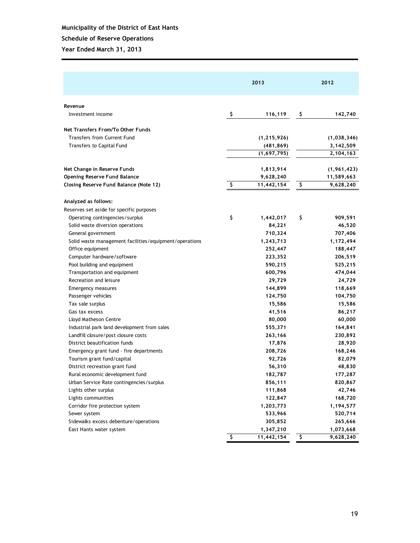# **Schedule of Reserve Operations**

|                                                                  | 2013             | 2012 |               |  |
|------------------------------------------------------------------|------------------|------|---------------|--|
| Revenue                                                          |                  |      |               |  |
| Investment income                                                | \$<br>116,119    | \$   | 142,740       |  |
| Net Transfers From/To Other Funds                                |                  |      |               |  |
| <b>Transfers from Current Fund</b>                               | (1, 215, 926)    |      | (1,038,346)   |  |
| <b>Transfers to Capital Fund</b>                                 | (481, 869)       |      | 3,142,509     |  |
|                                                                  | (1,697,795)      |      | 2,104,163     |  |
| Net Change in Reserve Funds                                      | 1,813,914        |      | (1, 961, 423) |  |
| <b>Opening Reserve Fund Balance</b>                              | 9,628,240        |      | 11,589,663    |  |
| Closing Reserve Fund Balance (Note 12)                           | \$<br>11,442,154 | \$   | 9,628,240     |  |
|                                                                  |                  |      |               |  |
| Analyzed as follows:<br>Reserves set aside for specific purposes |                  |      |               |  |
| Operating contingencies/surplus                                  | \$<br>1,442,017  | \$   | 909,591       |  |
| Solid waste diversion operations                                 | 84,221           |      | 46,520        |  |
| General government                                               | 710,324          |      | 707,406       |  |
| Solid waste management facilities/equipment/operations           | 1,243,713        |      | 1,172,494     |  |
| Office equipment                                                 | 252,447          |      | 188,447       |  |
| Computer hardware/software                                       | 223,352          |      | 206,519       |  |
| Pool building and equipment                                      | 590,215          |      | 525,215       |  |
| Transportation and equipment                                     | 600,796          |      | 474,044       |  |
| Recreation and leisure                                           | 29,729           |      | 24,729        |  |
| <b>Emergency measures</b>                                        | 144,899          |      | 118,669       |  |
| Passenger vehicles                                               | 124,750          |      | 104,750       |  |
| Tax sale surplus                                                 | 15,586           |      | 15,586        |  |
| Gas tax excess                                                   | 41,516           |      | 86,217        |  |
| Lloyd Matheson Centre                                            | 80,000           |      | 60,000        |  |
| Industrial park land development from sales                      | 555,371          |      | 164,841       |  |
| Landfill closure/post closure costs                              | 263,166          |      | 230,892       |  |
| District beautification funds                                    | 17,876           |      | 28,920        |  |
| Emergency grant fund - fire departments                          | 208,726          |      | 168,246       |  |
| Tourism grant fund/capital                                       | 92,726           |      | 82,079        |  |
| District recreation grant fund                                   | 56,310           |      | 48,830        |  |
| Rural economic development fund                                  | 182,787          |      | 177,287       |  |
| Urban Service Rate contingencies / surplus                       | 856,111          |      | 820,867       |  |
| Lights other surplus                                             | 111,868          |      | 42,746        |  |
| Lights communities                                               | 122,847          |      | 168,720       |  |
| Corridor fire protection system                                  | 1,203,773        |      | 1,194,577     |  |
| Sewer system                                                     | 533,966          |      | 520,714       |  |
| Sidewalks excess debenture/operations                            | 305,852          |      | 265,666       |  |
| East Hants water system                                          | 1,347,210        |      | 1,073,668     |  |
|                                                                  | \$<br>11,442,154 | \$   | 9,628,240     |  |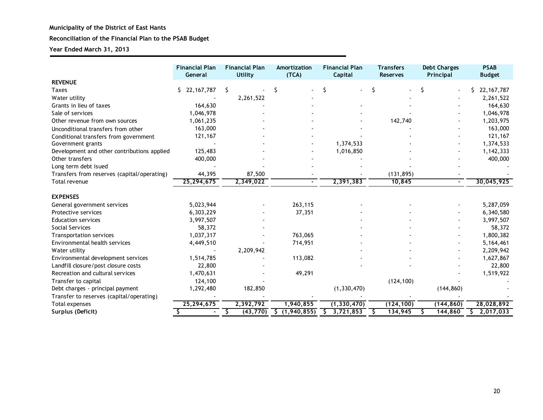### **Reconciliation of the Financial Plan to the PSAB Budget**

|                                             | <b>Financial Plan</b><br>General | <b>Financial Plan</b><br>Utility | Amortization<br>(TCA)     | <b>Financial Plan</b><br>Capital | <b>Transfers</b><br><b>Reserves</b> | <b>Debt Charges</b><br>Principal | <b>PSAB</b><br><b>Budget</b> |
|---------------------------------------------|----------------------------------|----------------------------------|---------------------------|----------------------------------|-------------------------------------|----------------------------------|------------------------------|
| <b>REVENUE</b>                              |                                  |                                  |                           |                                  |                                     |                                  |                              |
| <b>Taxes</b>                                | \$22,167,787                     | S                                | S                         | Ś                                | Ŝ                                   | \$                               | 22, 167, 787<br>\$.          |
| Water utility                               |                                  | 2,261,522                        |                           |                                  |                                     |                                  | 2,261,522                    |
| Grants in lieu of taxes                     | 164,630                          |                                  |                           |                                  |                                     |                                  | 164,630                      |
| Sale of services                            | 1,046,978                        |                                  |                           |                                  |                                     |                                  | 1,046,978                    |
| Other revenue from own sources              | 1,061,235                        |                                  |                           |                                  | 142,740                             |                                  | 1,203,975                    |
| Unconditional transfers from other          | 163,000                          |                                  |                           |                                  |                                     |                                  | 163,000                      |
| Conditional transfers from government       | 121,167                          |                                  |                           |                                  |                                     |                                  | 121,167                      |
| Government grants                           |                                  |                                  |                           | 1,374,533                        |                                     |                                  | 1,374,533                    |
| Development and other contributions applied | 125,483                          |                                  |                           | 1,016,850                        |                                     |                                  | 1,142,333                    |
| Other transfers                             | 400,000                          |                                  |                           |                                  |                                     |                                  | 400,000                      |
| Long term debt isued                        |                                  |                                  |                           |                                  |                                     |                                  |                              |
| Transfers from reserves (capital/operating) | 44,395                           | 87,500                           |                           |                                  | (131, 895)                          |                                  |                              |
| Total revenue                               | 25,294,675                       | 2,349,022                        |                           | 2,391,383                        | 10,845                              |                                  | 30,045,925                   |
| <b>EXPENSES</b>                             |                                  |                                  |                           |                                  |                                     |                                  |                              |
| General government services                 | 5,023,944                        |                                  | 263,115                   |                                  |                                     |                                  | 5,287,059                    |
| Protective services                         | 6,303,229                        |                                  | 37,351                    |                                  |                                     |                                  | 6,340,580                    |
| <b>Education services</b>                   | 3,997,507                        |                                  |                           |                                  |                                     |                                  | 3,997,507                    |
| Social Services                             | 58,372                           |                                  |                           |                                  |                                     |                                  | 58,372                       |
| <b>Transportation services</b>              | 1,037,317                        |                                  | 763,065                   |                                  |                                     |                                  | 1,800,382                    |
| Environmental health services               | 4,449,510                        |                                  | 714,951                   |                                  |                                     |                                  | 5,164,461                    |
| Water utility                               |                                  | 2,209,942                        |                           |                                  |                                     |                                  | 2,209,942                    |
| Environmental development services          | 1,514,785                        |                                  | 113,082                   |                                  |                                     |                                  | 1,627,867                    |
| Landfill closure/post closure costs         | 22,800                           |                                  |                           |                                  |                                     |                                  | 22,800                       |
| Recreation and cultural services            | 1,470,631                        |                                  | 49,291                    |                                  |                                     |                                  | 1,519,922                    |
| Transfer to capital                         | 124,100                          |                                  |                           |                                  | (124, 100)                          |                                  |                              |
| Debt charges - principal payment            | 1,292,480                        | 182,850                          |                           | (1, 330, 470)                    |                                     | (144, 860)                       |                              |
| Transfer to reserves (capital/operating)    |                                  |                                  |                           |                                  |                                     |                                  |                              |
| Total expenses                              | 25,294,675                       | 2,392,792                        | 1,940,855                 | (1, 330, 470)                    | (124, 100)                          | (144, 860)                       | 28,028,892                   |
| Surplus (Deficit)                           |                                  | (43, 770)<br>\$,                 | $\frac{1}{2}$ (1,940,855) | 3,721,853<br>S.                  | 134,945<br>S.                       | 144,860                          | 2,017,033                    |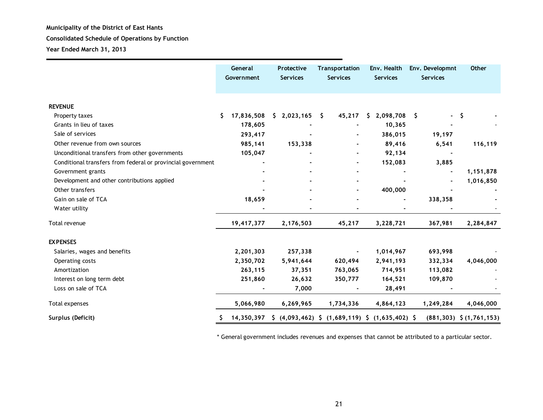### **Consolidated Schedule of Operations by Function**

**Year Ended March 31, 2013** 

|                                                             | General<br>Government | Protective<br><b>Services</b> | Transportation<br><b>Services</b>                          | Env. Health<br><b>Services</b> | Env. Developmnt<br><b>Services</b> | Other                           |
|-------------------------------------------------------------|-----------------------|-------------------------------|------------------------------------------------------------|--------------------------------|------------------------------------|---------------------------------|
| <b>REVENUE</b>                                              |                       |                               |                                                            |                                |                                    |                                 |
| Property taxes                                              | Ŝ.<br>17,836,508      | \$2,023,165                   | 45,217<br>S.                                               | \$<br>2,098,708                | -S<br>$\blacksquare$               | \$                              |
| Grants in lieu of taxes                                     | 178,605               |                               |                                                            | 10,365                         |                                    |                                 |
| Sale of services                                            | 293,417               |                               |                                                            | 386,015                        | 19,197                             |                                 |
| Other revenue from own sources                              | 985,141               | 153,338                       |                                                            | 89,416                         | 6,541                              | 116,119                         |
| Unconditional transfers from other governments              | 105,047               |                               |                                                            | 92,134                         |                                    |                                 |
| Conditional transfers from federal or provincial government |                       |                               |                                                            | 152,083                        | 3,885                              |                                 |
| Government grants                                           |                       |                               |                                                            |                                |                                    | 1,151,878                       |
| Development and other contributions applied                 |                       |                               |                                                            |                                |                                    | 1,016,850                       |
| Other transfers                                             |                       |                               |                                                            | 400,000                        |                                    |                                 |
| Gain on sale of TCA                                         | 18,659                |                               |                                                            |                                | 338,358                            |                                 |
| Water utility                                               |                       |                               |                                                            |                                |                                    |                                 |
| Total revenue                                               | 19,417,377            | 2,176,503                     | 45,217                                                     | 3,228,721                      | 367,981                            | 2,284,847                       |
| <b>EXPENSES</b>                                             |                       |                               |                                                            |                                |                                    |                                 |
| Salaries, wages and benefits                                | 2,201,303             | 257,338                       |                                                            | 1,014,967                      | 693,998                            |                                 |
| Operating costs                                             | 2,350,702             | 5,941,644                     | 620,494                                                    | 2,941,193                      | 332,334                            | 4,046,000                       |
| Amortization                                                | 263,115               | 37,351                        | 763,065                                                    | 714,951                        | 113,082                            |                                 |
| Interest on long term debt                                  | 251,860               | 26,632                        | 350,777                                                    | 164,521                        | 109,870                            |                                 |
| Loss on sale of TCA                                         |                       | 7,000                         |                                                            | 28,491                         |                                    |                                 |
| Total expenses                                              | 5,066,980             | 6,269,965                     | 1,734,336                                                  | 4,864,123                      | 1,249,284                          | 4,046,000                       |
| Surplus (Deficit)                                           | \$                    |                               | 14,350,397 \$ (4,093,462) \$ (1,689,119) \$ (1,635,402) \$ |                                |                                    | $(881, 303)$ \$ $(1, 761, 153)$ |

\* General government includes revenues and expenses that cannot be attributed to a particular sector.